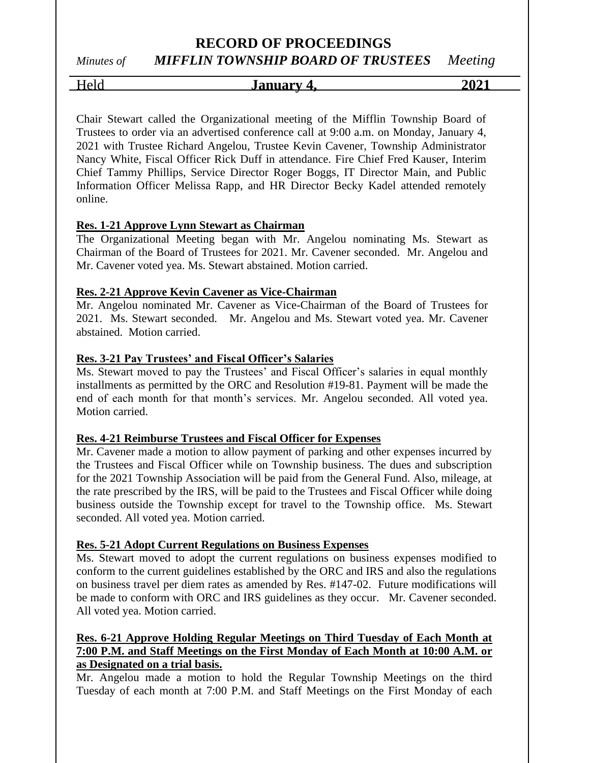# *Minutes of MIFFLIN TOWNSHIP BOARD OF TRUSTEES Meeting*

Held **January 4, 2021**

Chair Stewart called the Organizational meeting of the Mifflin Township Board of Trustees to order via an advertised conference call at 9:00 a.m. on Monday, January 4, 2021 with Trustee Richard Angelou, Trustee Kevin Cavener, Township Administrator Nancy White, Fiscal Officer Rick Duff in attendance. Fire Chief Fred Kauser, Interim Chief Tammy Phillips, Service Director Roger Boggs, IT Director Main, and Public Information Officer Melissa Rapp, and HR Director Becky Kadel attended remotely online.

# **Res. 1-21 Approve Lynn Stewart as Chairman**

The Organizational Meeting began with Mr. Angelou nominating Ms. Stewart as Chairman of the Board of Trustees for 2021. Mr. Cavener seconded. Mr. Angelou and Mr. Cavener voted yea. Ms. Stewart abstained. Motion carried.

# **Res. 2-21 Approve Kevin Cavener as Vice-Chairman**

Mr. Angelou nominated Mr. Cavener as Vice-Chairman of the Board of Trustees for 2021. Ms. Stewart seconded. Mr. Angelou and Ms. Stewart voted yea. Mr. Cavener abstained. Motion carried.

# **Res. 3-21 Pay Trustees' and Fiscal Officer's Salaries**

Ms. Stewart moved to pay the Trustees' and Fiscal Officer's salaries in equal monthly installments as permitted by the ORC and Resolution #19-81. Payment will be made the end of each month for that month's services. Mr. Angelou seconded. All voted yea. Motion carried.

## **Res. 4-21 Reimburse Trustees and Fiscal Officer for Expenses**

Mr. Cavener made a motion to allow payment of parking and other expenses incurred by the Trustees and Fiscal Officer while on Township business. The dues and subscription for the 2021 Township Association will be paid from the General Fund. Also, mileage, at the rate prescribed by the IRS, will be paid to the Trustees and Fiscal Officer while doing business outside the Township except for travel to the Township office. Ms. Stewart seconded. All voted yea. Motion carried.

# **Res. 5-21 Adopt Current Regulations on Business Expenses**

Ms. Stewart moved to adopt the current regulations on business expenses modified to conform to the current guidelines established by the ORC and IRS and also the regulations on business travel per diem rates as amended by Res. #147-02. Future modifications will be made to conform with ORC and IRS guidelines as they occur. Mr. Cavener seconded. All voted yea. Motion carried.

# **Res. 6-21 Approve Holding Regular Meetings on Third Tuesday of Each Month at 7:00 P.M. and Staff Meetings on the First Monday of Each Month at 10:00 A.M. or as Designated on a trial basis.**

Mr. Angelou made a motion to hold the Regular Township Meetings on the third Tuesday of each month at 7:00 P.M. and Staff Meetings on the First Monday of each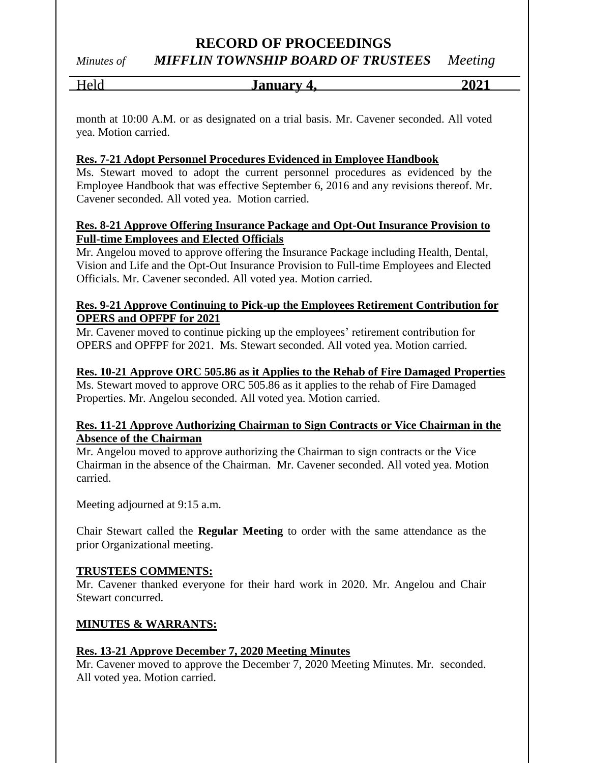*Minutes of MIFFLIN TOWNSHIP BOARD OF TRUSTEES Meeting*

Held **January 4, 2021**

month at 10:00 A.M. or as designated on a trial basis. Mr. Cavener seconded. All voted yea. Motion carried.

# **Res. 7-21 Adopt Personnel Procedures Evidenced in Employee Handbook**

Ms. Stewart moved to adopt the current personnel procedures as evidenced by the Employee Handbook that was effective September 6, 2016 and any revisions thereof. Mr. Cavener seconded. All voted yea. Motion carried.

# **Res. 8-21 Approve Offering Insurance Package and Opt-Out Insurance Provision to Full-time Employees and Elected Officials**

Mr. Angelou moved to approve offering the Insurance Package including Health, Dental, Vision and Life and the Opt-Out Insurance Provision to Full-time Employees and Elected Officials. Mr. Cavener seconded. All voted yea. Motion carried.

## **Res. 9-21 Approve Continuing to Pick-up the Employees Retirement Contribution for OPERS and OPFPF for 2021**

Mr. Cavener moved to continue picking up the employees' retirement contribution for OPERS and OPFPF for 2021. Ms. Stewart seconded. All voted yea. Motion carried.

## **Res. 10-21 Approve ORC 505.86 as it Applies to the Rehab of Fire Damaged Properties**

Ms. Stewart moved to approve ORC 505.86 as it applies to the rehab of Fire Damaged Properties. Mr. Angelou seconded. All voted yea. Motion carried.

## **Res. 11-21 Approve Authorizing Chairman to Sign Contracts or Vice Chairman in the Absence of the Chairman**

Mr. Angelou moved to approve authorizing the Chairman to sign contracts or the Vice Chairman in the absence of the Chairman. Mr. Cavener seconded. All voted yea. Motion carried.

Meeting adjourned at 9:15 a.m.

Chair Stewart called the **Regular Meeting** to order with the same attendance as the prior Organizational meeting.

## **TRUSTEES COMMENTS:**

Mr. Cavener thanked everyone for their hard work in 2020. Mr. Angelou and Chair Stewart concurred.

# **MINUTES & WARRANTS:**

# **Res. 13-21 Approve December 7, 2020 Meeting Minutes**

Mr. Cavener moved to approve the December 7, 2020 Meeting Minutes. Mr. seconded. All voted yea. Motion carried.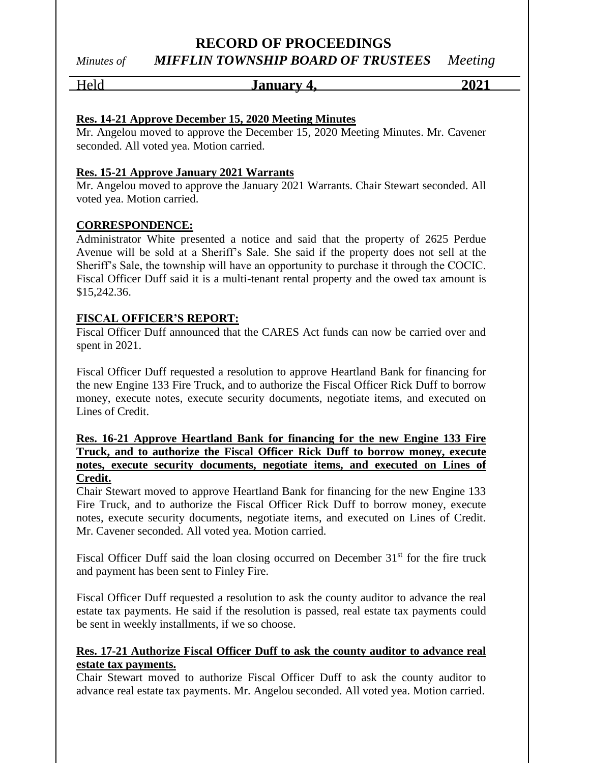*Minutes of MIFFLIN TOWNSHIP BOARD OF TRUSTEES Meeting*

# Held **January 4, 2021**

# **Res. 14-21 Approve December 15, 2020 Meeting Minutes**

Mr. Angelou moved to approve the December 15, 2020 Meeting Minutes. Mr. Cavener seconded. All voted yea. Motion carried.

# **Res. 15-21 Approve January 2021 Warrants**

Mr. Angelou moved to approve the January 2021 Warrants. Chair Stewart seconded. All voted yea. Motion carried.

# **CORRESPONDENCE:**

Administrator White presented a notice and said that the property of 2625 Perdue Avenue will be sold at a Sheriff's Sale. She said if the property does not sell at the Sheriff's Sale, the township will have an opportunity to purchase it through the COCIC. Fiscal Officer Duff said it is a multi-tenant rental property and the owed tax amount is \$15,242.36.

# **FISCAL OFFICER'S REPORT:**

Fiscal Officer Duff announced that the CARES Act funds can now be carried over and spent in 2021.

Fiscal Officer Duff requested a resolution to approve Heartland Bank for financing for the new Engine 133 Fire Truck, and to authorize the Fiscal Officer Rick Duff to borrow money, execute notes, execute security documents, negotiate items, and executed on Lines of Credit.

# **Res. 16-21 Approve Heartland Bank for financing for the new Engine 133 Fire Truck, and to authorize the Fiscal Officer Rick Duff to borrow money, execute notes, execute security documents, negotiate items, and executed on Lines of Credit.**

Chair Stewart moved to approve Heartland Bank for financing for the new Engine 133 Fire Truck, and to authorize the Fiscal Officer Rick Duff to borrow money, execute notes, execute security documents, negotiate items, and executed on Lines of Credit. Mr. Cavener seconded. All voted yea. Motion carried.

Fiscal Officer Duff said the loan closing occurred on December  $31<sup>st</sup>$  for the fire truck and payment has been sent to Finley Fire.

Fiscal Officer Duff requested a resolution to ask the county auditor to advance the real estate tax payments. He said if the resolution is passed, real estate tax payments could be sent in weekly installments, if we so choose.

# **Res. 17-21 Authorize Fiscal Officer Duff to ask the county auditor to advance real estate tax payments.**

Chair Stewart moved to authorize Fiscal Officer Duff to ask the county auditor to advance real estate tax payments. Mr. Angelou seconded. All voted yea. Motion carried.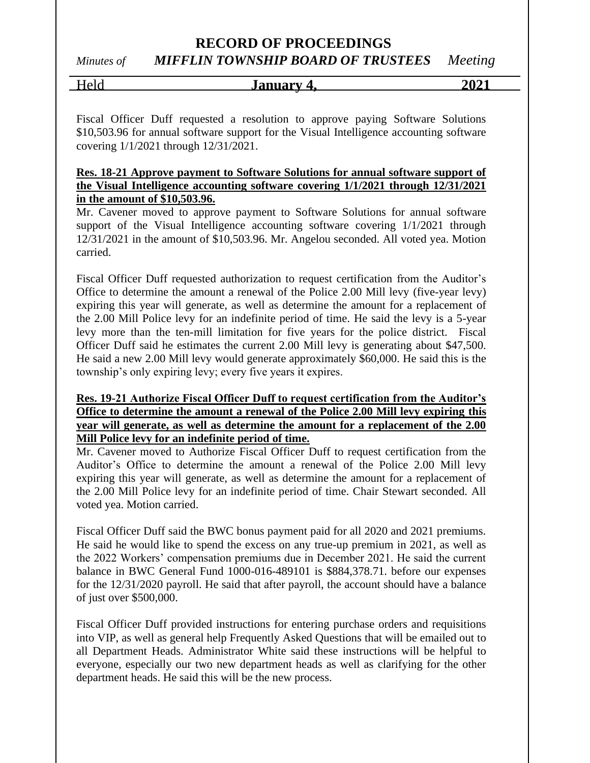*Minutes of MIFFLIN TOWNSHIP BOARD OF TRUSTEES Meeting*

| - - | <u>January</u><br>$\overline{ }$<br>T. | . |
|-----|----------------------------------------|---|
|     |                                        |   |

Fiscal Officer Duff requested a resolution to approve paying Software Solutions \$10,503.96 for annual software support for the Visual Intelligence accounting software covering 1/1/2021 through 12/31/2021.

## **Res. 18-21 Approve payment to Software Solutions for annual software support of the Visual Intelligence accounting software covering 1/1/2021 through 12/31/2021 in the amount of \$10,503.96.**

Mr. Cavener moved to approve payment to Software Solutions for annual software support of the Visual Intelligence accounting software covering  $1/1/2021$  through 12/31/2021 in the amount of \$10,503.96. Mr. Angelou seconded. All voted yea. Motion carried.

Fiscal Officer Duff requested authorization to request certification from the Auditor's Office to determine the amount a renewal of the Police 2.00 Mill levy (five-year levy) expiring this year will generate, as well as determine the amount for a replacement of the 2.00 Mill Police levy for an indefinite period of time. He said the levy is a 5-year levy more than the ten-mill limitation for five years for the police district. Fiscal Officer Duff said he estimates the current 2.00 Mill levy is generating about \$47,500. He said a new 2.00 Mill levy would generate approximately \$60,000. He said this is the township's only expiring levy; every five years it expires.

# **Res. 19-21 Authorize Fiscal Officer Duff to request certification from the Auditor's Office to determine the amount a renewal of the Police 2.00 Mill levy expiring this year will generate, as well as determine the amount for a replacement of the 2.00 Mill Police levy for an indefinite period of time.**

Mr. Cavener moved to Authorize Fiscal Officer Duff to request certification from the Auditor's Office to determine the amount a renewal of the Police 2.00 Mill levy expiring this year will generate, as well as determine the amount for a replacement of the 2.00 Mill Police levy for an indefinite period of time. Chair Stewart seconded. All voted yea. Motion carried.

Fiscal Officer Duff said the BWC bonus payment paid for all 2020 and 2021 premiums. He said he would like to spend the excess on any true-up premium in 2021, as well as the 2022 Workers' compensation premiums due in December 2021. He said the current balance in BWC General Fund 1000-016-489101 is \$884,378.71. before our expenses for the 12/31/2020 payroll. He said that after payroll, the account should have a balance of just over \$500,000.

Fiscal Officer Duff provided instructions for entering purchase orders and requisitions into VIP, as well as general help Frequently Asked Questions that will be emailed out to all Department Heads. Administrator White said these instructions will be helpful to everyone, especially our two new department heads as well as clarifying for the other department heads. He said this will be the new process.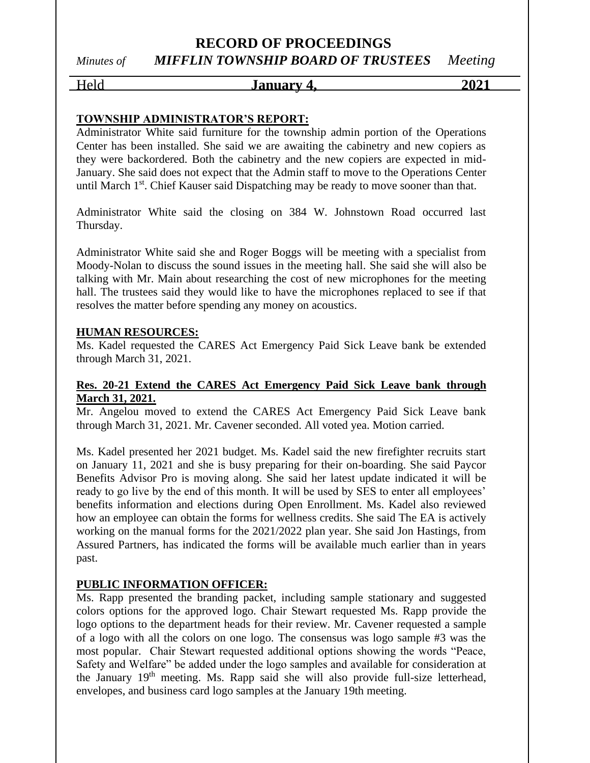# **RECORD OF PROCEEDINGS** *Minutes of MIFFLIN TOWNSHIP BOARD OF TRUSTEES Meeting*

# Held **January 4, 2021**

# **TOWNSHIP ADMINISTRATOR'S REPORT:**

Administrator White said furniture for the township admin portion of the Operations Center has been installed. She said we are awaiting the cabinetry and new copiers as they were backordered. Both the cabinetry and the new copiers are expected in mid-January. She said does not expect that the Admin staff to move to the Operations Center until March 1<sup>st</sup>. Chief Kauser said Dispatching may be ready to move sooner than that.

Administrator White said the closing on 384 W. Johnstown Road occurred last Thursday.

Administrator White said she and Roger Boggs will be meeting with a specialist from Moody-Nolan to discuss the sound issues in the meeting hall. She said she will also be talking with Mr. Main about researching the cost of new microphones for the meeting hall. The trustees said they would like to have the microphones replaced to see if that resolves the matter before spending any money on acoustics.

#### **HUMAN RESOURCES:**

Ms. Kadel requested the CARES Act Emergency Paid Sick Leave bank be extended through March 31, 2021.

## **Res. 20-21 Extend the CARES Act Emergency Paid Sick Leave bank through March 31, 2021.**

Mr. Angelou moved to extend the CARES Act Emergency Paid Sick Leave bank through March 31, 2021. Mr. Cavener seconded. All voted yea. Motion carried.

Ms. Kadel presented her 2021 budget. Ms. Kadel said the new firefighter recruits start on January 11, 2021 and she is busy preparing for their on-boarding. She said Paycor Benefits Advisor Pro is moving along. She said her latest update indicated it will be ready to go live by the end of this month. It will be used by SES to enter all employees' benefits information and elections during Open Enrollment. Ms. Kadel also reviewed how an employee can obtain the forms for wellness credits. She said The EA is actively working on the manual forms for the 2021/2022 plan year. She said Jon Hastings, from Assured Partners, has indicated the forms will be available much earlier than in years past.

## **PUBLIC INFORMATION OFFICER:**

Ms. Rapp presented the branding packet, including sample stationary and suggested colors options for the approved logo. Chair Stewart requested Ms. Rapp provide the logo options to the department heads for their review. Mr. Cavener requested a sample of a logo with all the colors on one logo. The consensus was logo sample #3 was the most popular. Chair Stewart requested additional options showing the words "Peace, Safety and Welfare" be added under the logo samples and available for consideration at the January 19<sup>th</sup> meeting. Ms. Rapp said she will also provide full-size letterhead, envelopes, and business card logo samples at the January 19th meeting.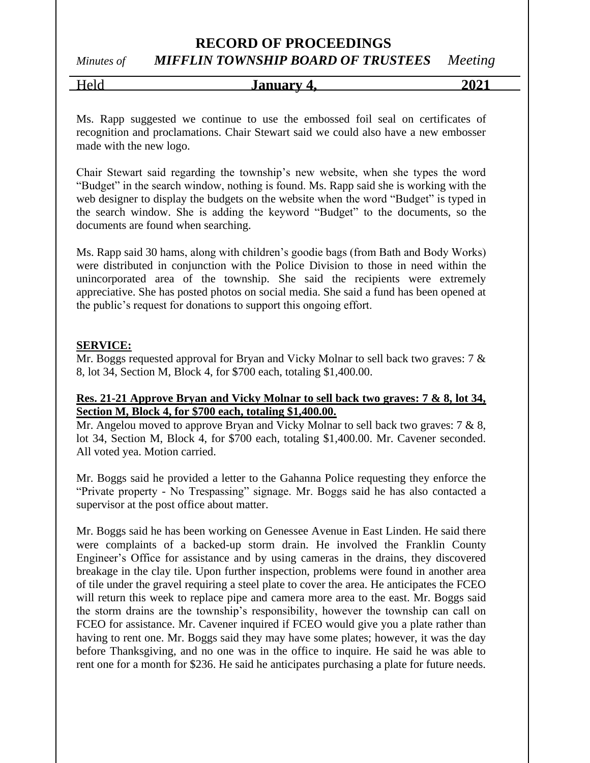*Minutes of MIFFLIN TOWNSHIP BOARD OF TRUSTEES Meeting*

Held **January 4, 2021**

Ms. Rapp suggested we continue to use the embossed foil seal on certificates of recognition and proclamations. Chair Stewart said we could also have a new embosser made with the new logo.

Chair Stewart said regarding the township's new website, when she types the word "Budget" in the search window, nothing is found. Ms. Rapp said she is working with the web designer to display the budgets on the website when the word "Budget" is typed in the search window. She is adding the keyword "Budget" to the documents, so the documents are found when searching.

Ms. Rapp said 30 hams, along with children's goodie bags (from Bath and Body Works) were distributed in conjunction with the Police Division to those in need within the unincorporated area of the township. She said the recipients were extremely appreciative. She has posted photos on social media. She said a fund has been opened at the public's request for donations to support this ongoing effort.

# **SERVICE:**

Mr. Boggs requested approval for Bryan and Vicky Molnar to sell back two graves: 7 & 8, lot 34, Section M, Block 4, for \$700 each, totaling \$1,400.00.

# **Res. 21-21 Approve Bryan and Vicky Molnar to sell back two graves: 7 & 8, lot 34, Section M, Block 4, for \$700 each, totaling \$1,400.00.**

Mr. Angelou moved to approve Bryan and Vicky Molnar to sell back two graves:  $7 & 8, 8$ , lot 34, Section M, Block 4, for \$700 each, totaling \$1,400.00. Mr. Cavener seconded. All voted yea. Motion carried.

Mr. Boggs said he provided a letter to the Gahanna Police requesting they enforce the "Private property - No Trespassing" signage. Mr. Boggs said he has also contacted a supervisor at the post office about matter.

Mr. Boggs said he has been working on Genessee Avenue in East Linden. He said there were complaints of a backed-up storm drain. He involved the Franklin County Engineer's Office for assistance and by using cameras in the drains, they discovered breakage in the clay tile. Upon further inspection, problems were found in another area of tile under the gravel requiring a steel plate to cover the area. He anticipates the FCEO will return this week to replace pipe and camera more area to the east. Mr. Boggs said the storm drains are the township's responsibility, however the township can call on FCEO for assistance. Mr. Cavener inquired if FCEO would give you a plate rather than having to rent one. Mr. Boggs said they may have some plates; however, it was the day before Thanksgiving, and no one was in the office to inquire. He said he was able to rent one for a month for \$236. He said he anticipates purchasing a plate for future needs.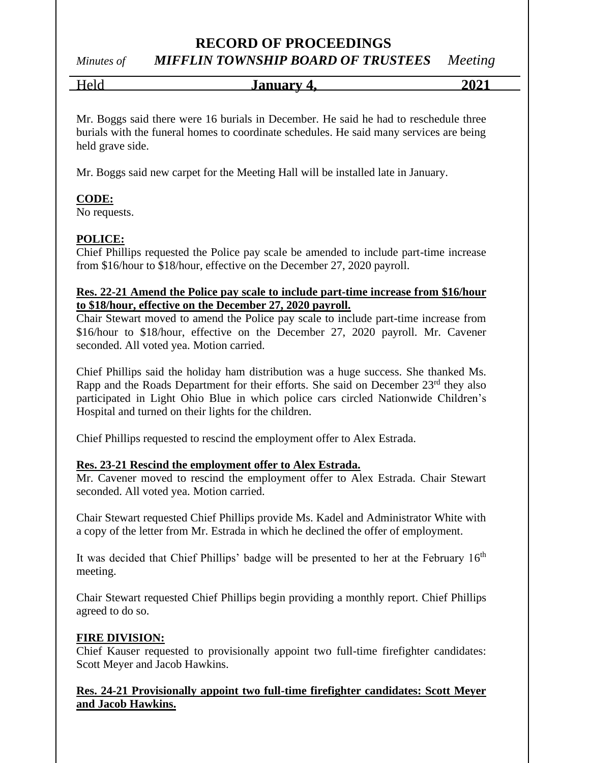*Minutes of MIFFLIN TOWNSHIP BOARD OF TRUSTEES Meeting*

Held **January 4, 2021**

Mr. Boggs said there were 16 burials in December. He said he had to reschedule three burials with the funeral homes to coordinate schedules. He said many services are being held grave side.

Mr. Boggs said new carpet for the Meeting Hall will be installed late in January.

# **CODE:**

No requests.

# **POLICE:**

Chief Phillips requested the Police pay scale be amended to include part-time increase from \$16/hour to \$18/hour, effective on the December 27, 2020 payroll.

# **Res. 22-21 Amend the Police pay scale to include part-time increase from \$16/hour to \$18/hour, effective on the December 27, 2020 payroll.**

Chair Stewart moved to amend the Police pay scale to include part-time increase from \$16/hour to \$18/hour, effective on the December 27, 2020 payroll. Mr. Cavener seconded. All voted yea. Motion carried.

Chief Phillips said the holiday ham distribution was a huge success. She thanked Ms. Rapp and the Roads Department for their efforts. She said on December  $23<sup>rd</sup>$  they also participated in Light Ohio Blue in which police cars circled Nationwide Children's Hospital and turned on their lights for the children.

Chief Phillips requested to rescind the employment offer to Alex Estrada.

## **Res. 23-21 Rescind the employment offer to Alex Estrada.**

Mr. Cavener moved to rescind the employment offer to Alex Estrada. Chair Stewart seconded. All voted yea. Motion carried.

Chair Stewart requested Chief Phillips provide Ms. Kadel and Administrator White with a copy of the letter from Mr. Estrada in which he declined the offer of employment.

It was decided that Chief Phillips' badge will be presented to her at the February 16<sup>th</sup> meeting.

Chair Stewart requested Chief Phillips begin providing a monthly report. Chief Phillips agreed to do so.

## **FIRE DIVISION:**

Chief Kauser requested to provisionally appoint two full-time firefighter candidates: Scott Meyer and Jacob Hawkins.

# **Res. 24-21 Provisionally appoint two full-time firefighter candidates: Scott Meyer and Jacob Hawkins.**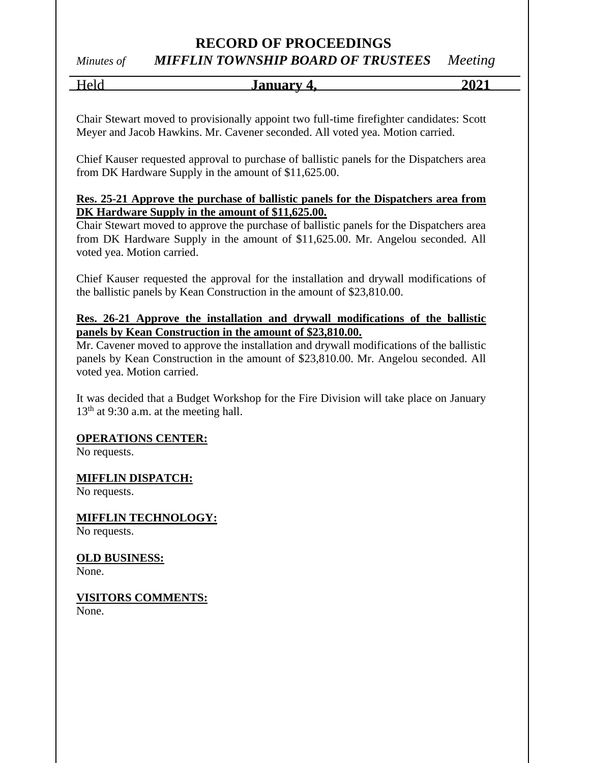# *Minutes of MIFFLIN TOWNSHIP BOARD OF TRUSTEES Meeting*

Held **January 4, 2021**

Chair Stewart moved to provisionally appoint two full-time firefighter candidates: Scott Meyer and Jacob Hawkins. Mr. Cavener seconded. All voted yea. Motion carried.

Chief Kauser requested approval to purchase of ballistic panels for the Dispatchers area from DK Hardware Supply in the amount of \$11,625.00.

# **Res. 25-21 Approve the purchase of ballistic panels for the Dispatchers area from DK Hardware Supply in the amount of \$11,625.00.**

Chair Stewart moved to approve the purchase of ballistic panels for the Dispatchers area from DK Hardware Supply in the amount of \$11,625.00. Mr. Angelou seconded. All voted yea. Motion carried.

Chief Kauser requested the approval for the installation and drywall modifications of the ballistic panels by Kean Construction in the amount of \$23,810.00.

# **Res. 26-21 Approve the installation and drywall modifications of the ballistic panels by Kean Construction in the amount of \$23,810.00.**

Mr. Cavener moved to approve the installation and drywall modifications of the ballistic panels by Kean Construction in the amount of \$23,810.00. Mr. Angelou seconded. All voted yea. Motion carried.

It was decided that a Budget Workshop for the Fire Division will take place on January  $13<sup>th</sup>$  at 9:30 a.m. at the meeting hall.

# **OPERATIONS CENTER:**

No requests.

# **MIFFLIN DISPATCH:**

No requests.

**MIFFLIN TECHNOLOGY:** No requests.

**OLD BUSINESS:** None.

**VISITORS COMMENTS:** None.